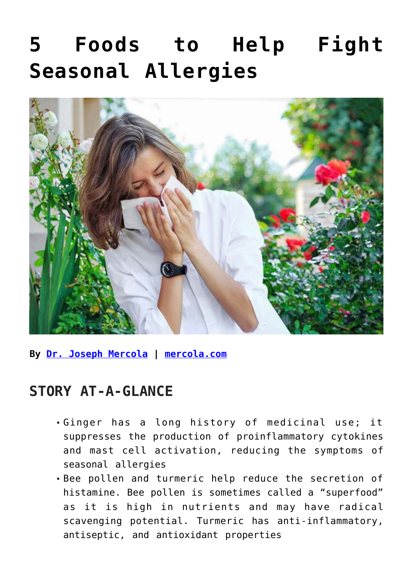# **[5 Foods to Help Fight](https://consciouslifenews.com/5-foods-to-help-fight-seasonal-allergies/11204340/) [Seasonal Allergies](https://consciouslifenews.com/5-foods-to-help-fight-seasonal-allergies/11204340/)**



**By [Dr. Joseph Mercola](https://www.mercola.com/forms/background.htm) | [mercola.com](https://articles.mercola.com/sites/articles/archive/2021/05/10/foods-seasonal-allergies.aspx)**

#### **STORY AT-A-GLANCE**

- Ginger has a long history of medicinal use; it suppresses the production of proinflammatory cytokines and mast cell activation, reducing the symptoms of seasonal allergies
- Bee pollen and turmeric help reduce the secretion of histamine. Bee pollen is sometimes called a "superfood" as it is high in nutrients and may have radical scavenging potential. Turmeric has anti-inflammatory, antiseptic, and antioxidant properties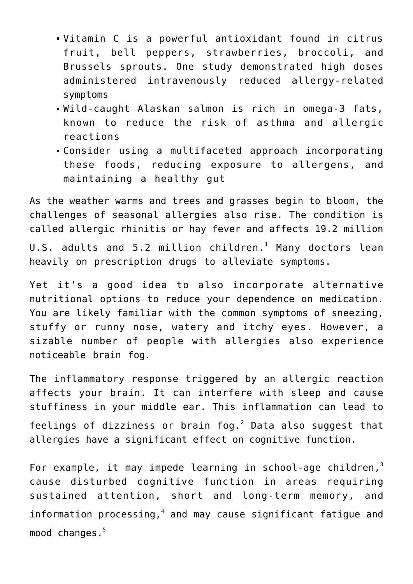- Vitamin C is a powerful antioxidant found in citrus fruit, bell peppers, strawberries, broccoli, and Brussels sprouts. One study demonstrated high doses administered intravenously reduced allergy-related symptoms
- Wild-caught Alaskan salmon is rich in omega-3 fats, known to reduce the risk of asthma and allergic reactions
- Consider using a multifaceted approach incorporating these foods, reducing exposure to allergens, and maintaining a healthy gut

As the weather warms and trees and grasses begin to bloom, the challenges of seasonal allergies also rise. The condition is called allergic rhinitis or hay fever and affects 19.2 million <code>U.S.</code> adults and <code>5.2</code> <code>million children. $^{\rm 1}$  Many doctors lean</code> heavily on prescription drugs to alleviate symptoms.

Yet it's a good idea to also incorporate alternative nutritional options to reduce your dependence on medication. You are likely familiar with the common symptoms of sneezing, stuffy or runny nose, watery and itchy eyes. However, a sizable number of people with allergies also experience noticeable brain fog.

The inflammatory response triggered by an allergic reaction affects your brain. It can interfere with sleep and cause stuffiness in your middle ear. This inflammation can lead to feelings of dizziness or brain fog. $2$  Data also suggest that allergies have a significant effect on cognitive function.

For example, it may impede learning in school-age children, $3$ cause disturbed cognitive function in areas requiring sustained attention, short and long-term memory, and information processing, $4$  and may cause significant fatigue and mood changes.<sup>5</sup>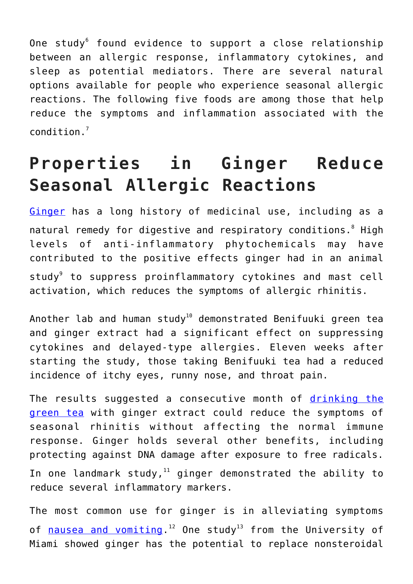One study $^6$  found evidence to support a close relationship between an allergic response, inflammatory cytokines, and sleep as potential mediators. There are several natural options available for people who experience seasonal allergic reactions. The following five foods are among those that help reduce the symptoms and inflammation associated with the condition.<sup>7</sup>

## **Properties in Ginger Reduce Seasonal Allergic Reactions**

[Ginger](https://articles.mercola.com/sites/articles/archive/2018/11/05/health-benefits-of-ginger.aspx) has a long history of medicinal use, including as a natural remedy for digestive and respiratory conditions. $^8$  High levels of anti-inflammatory phytochemicals may have contributed to the positive effects ginger had in an animal study<sup>9</sup> to suppress proinflammatory cytokines and mast cell activation, which reduces the symptoms of allergic rhinitis.

Another lab and human study<sup>10</sup> demonstrated Benifuuki green tea and ginger extract had a significant effect on suppressing cytokines and delayed-type allergies. Eleven weeks after starting the study, those taking Benifuuki tea had a reduced incidence of itchy eyes, runny nose, and throat pain.

The results suggested a consecutive month of [drinking the](https://articles.mercola.com/sites/articles/archive/2020/01/20/drinking-tea-health-benefits.aspx) [green tea](https://articles.mercola.com/sites/articles/archive/2020/01/20/drinking-tea-health-benefits.aspx) with ginger extract could reduce the symptoms of seasonal rhinitis without affecting the normal immune response. Ginger holds several other benefits, including protecting against DNA damage after exposure to free radicals. In one landmark study, $11$  ginger demonstrated the ability to reduce several inflammatory markers.

The most common use for ginger is in alleviating symptoms of <u>nausea and vomiting</u>.<sup>12</sup> One study<sup>13</sup> from the University of Miami showed ginger has the potential to replace nonsteroidal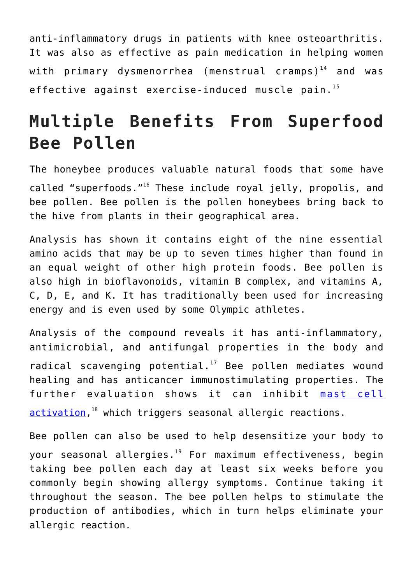anti-inflammatory drugs in patients with knee osteoarthritis. It was also as effective as pain medication in helping women with primary dysmenorrhea (menstrual cramps) $14$  and was effective against exercise-induced muscle pain. $^{15}$ 

## **Multiple Benefits From Superfood Bee Pollen**

The honeybee produces valuable natural foods that some have called "superfoods."<sup>16</sup> These include royal jelly, propolis, and bee pollen. Bee pollen is the pollen honeybees bring back to the hive from plants in their geographical area.

Analysis has shown it contains eight of the nine essential amino acids that may be up to seven times higher than found in an equal weight of other high protein foods. Bee pollen is also high in bioflavonoids, vitamin B complex, and vitamins A, C, D, E, and K. It has traditionally been used for increasing energy and is even used by some Olympic athletes.

Analysis of the compound reveals it has anti-inflammatory, antimicrobial, and antifungal properties in the body and radical scavenging potential. $17$  Bee pollen mediates wound healing and has anticancer immunostimulating properties. The further evaluation shows it can inhibit [mast cell](https://articles.mercola.com/sites/articles/archive/2020/11/14/cold-urticaria.aspx) [activation,](https://articles.mercola.com/sites/articles/archive/2020/11/14/cold-urticaria.aspx)<sup>18</sup> which triggers seasonal allergic reactions.

Bee pollen can also be used to help desensitize your body to your seasonal allergies.<sup>19</sup> For maximum effectiveness, begin taking bee pollen each day at least six weeks before you commonly begin showing allergy symptoms. Continue taking it throughout the season. The bee pollen helps to stimulate the production of antibodies, which in turn helps eliminate your allergic reaction.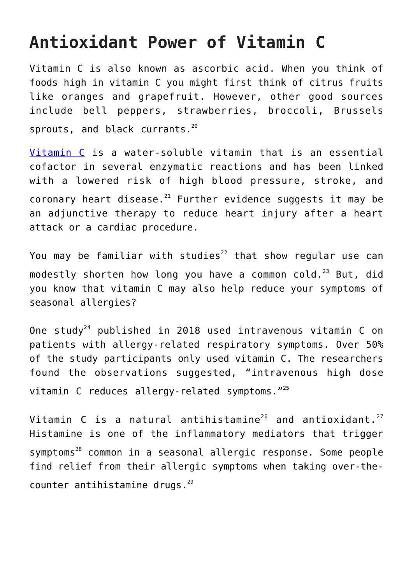### **Antioxidant Power of Vitamin C**

Vitamin C is also known as ascorbic acid. When you think of foods high in vitamin C you might first think of citrus fruits like oranges and grapefruit. However, other good sources include bell peppers, strawberries, broccoli, Brussels sprouts, and black currants.<sup>20</sup>

[Vitamin C](https://articles.mercola.com/sites/articles/archive/2021/05/04/removing-articles-related-to-vitamin-d-c-and-zinc.aspx) is a water-soluble vitamin that is an essential cofactor in several enzymatic reactions and has been linked with a lowered risk of high blood pressure, stroke, and coronary heart disease. $21$  Further evidence suggests it may be an adjunctive therapy to reduce heart injury after a heart attack or a cardiac procedure.

You may be familiar with studies<sup>22</sup> that show regular use can modestly shorten how long you have a common cold.<sup>23</sup> But, did you know that vitamin C may also help reduce your symptoms of seasonal allergies?

One study<sup>24</sup> published in 2018 used intravenous vitamin C on patients with allergy-related respiratory symptoms. Over 50% of the study participants only used vitamin C. The researchers found the observations suggested, "intravenous high dose vitamin C reduces allergy-related symptoms."<sup>25</sup>

Vitamin C is a natural antihistamine<sup>26</sup> and antioxidant.<sup>27</sup> Histamine is one of the inflammatory mediators that trigger symptoms<sup>28</sup> common in a seasonal allergic response. Some people find relief from their allergic symptoms when taking over-thecounter antihistamine drugs. $^{29}$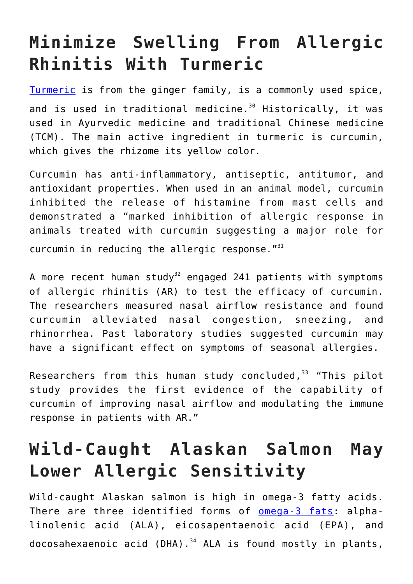## **Minimize Swelling From Allergic Rhinitis With Turmeric**

[Turmeric](https://articles.mercola.com/herbs-spices/turmeric.aspx) is from the ginger family, is a commonly used spice, and is used in traditional medicine. $30$  Historically, it was used in Ayurvedic medicine and traditional Chinese medicine (TCM). The main active ingredient in turmeric is curcumin, which gives the rhizome its yellow color.

Curcumin has anti-inflammatory, antiseptic, antitumor, and antioxidant properties. When used in an animal model, curcumin inhibited the release of histamine from mast cells and demonstrated a "marked inhibition of allergic response in animals treated with curcumin suggesting a major role for curcumin in reducing the allergic response. $"$ <sup>31</sup>

A more recent human study<sup>32</sup> engaged 241 patients with symptoms of allergic rhinitis (AR) to test the efficacy of curcumin. The researchers measured nasal airflow resistance and found curcumin alleviated nasal congestion, sneezing, and rhinorrhea. Past laboratory studies suggested curcumin may have a significant effect on symptoms of seasonal allergies.

Researchers from this human study concluded,  $33$  "This pilot study provides the first evidence of the capability of curcumin of improving nasal airflow and modulating the immune response in patients with AR."

## **Wild-Caught Alaskan Salmon May Lower Allergic Sensitivity**

Wild-caught Alaskan salmon is high in omega-3 fatty acids. There are three identified forms of [omega-3 fats:](https://articles.mercola.com/sites/articles/archive/2016/07/11/health-benefits-omega-3-fats.aspx) alphalinolenic acid (ALA), eicosapentaenoic acid (EPA), and docosahexaenoic acid (DHA). $34$  ALA is found mostly in plants,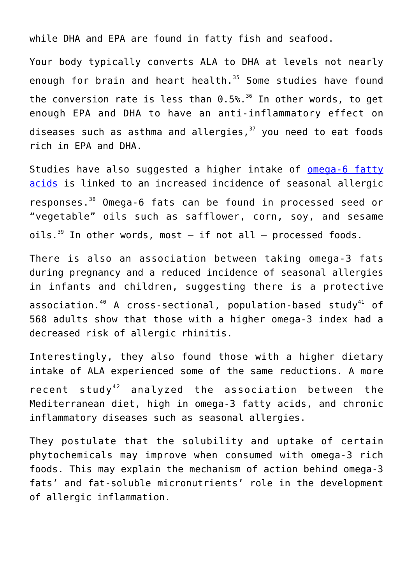while DHA and EPA are found in fatty fish and seafood.

Your body typically converts ALA to DHA at levels not nearly enough for brain and heart health.<sup>35</sup> Some studies have found the conversion rate is less than  $0.5\%$ .<sup>36</sup> In other words, to get enough EPA and DHA to have an anti-inflammatory effect on diseases such as asthma and allergies, $37$  you need to eat foods rich in EPA and DHA.

Studies have also suggested a higher intake of **[omega-6 fatty](https://articles.mercola.com/sites/articles/archive/2019/09/09/how-much-omega-3-do-you-need-daily.aspx)** [acids](https://articles.mercola.com/sites/articles/archive/2019/09/09/how-much-omega-3-do-you-need-daily.aspx) is linked to an increased incidence of seasonal allergic responses.<sup>38</sup> Omega-6 fats can be found in processed seed or "vegetable" oils such as safflower, corn, soy, and sesame oils.<sup>39</sup> In other words, most  $-$  if not all  $-$  processed foods.

There is also an association between taking omega-3 fats during pregnancy and a reduced incidence of seasonal allergies in infants and children, suggesting there is a protective association.<sup>40</sup> A cross-sectional, population-based study<sup>41</sup> of 568 adults show that those with a higher omega-3 index had a decreased risk of allergic rhinitis.

Interestingly, they also found those with a higher dietary intake of ALA experienced some of the same reductions. A more recent study<sup>42</sup> analyzed the association between the Mediterranean diet, high in omega-3 fatty acids, and chronic inflammatory diseases such as seasonal allergies.

They postulate that the solubility and uptake of certain phytochemicals may improve when consumed with omega-3 rich foods. This may explain the mechanism of action behind omega-3 fats' and fat-soluble micronutrients' role in the development of allergic inflammation.